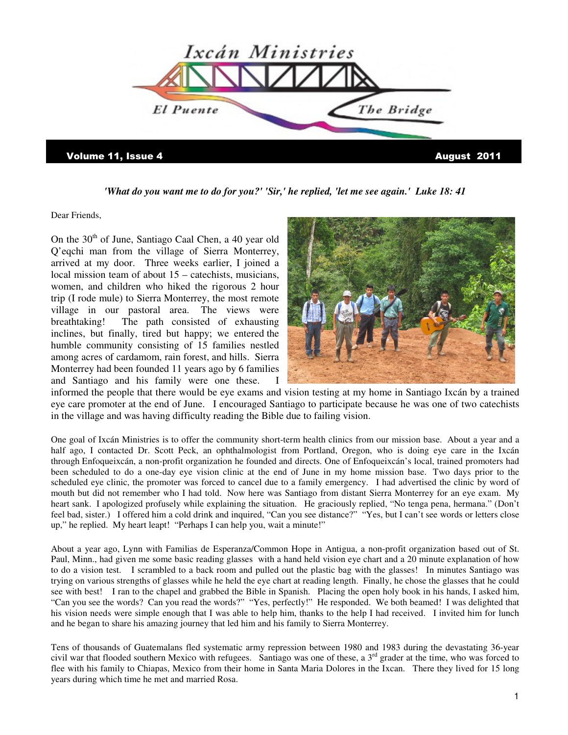

*'What do you want me to do for you?' 'Sir,' he replied, 'let me see again.' Luke 18: 41* 

Dear Friends,

On the  $30<sup>th</sup>$  of June, Santiago Caal Chen, a 40 year old Q'eqchi man from the village of Sierra Monterrey, arrived at my door. Three weeks earlier, I joined a local mission team of about 15 – catechists, musicians, women, and children who hiked the rigorous 2 hour trip (I rode mule) to Sierra Monterrey, the most remote village in our pastoral area. The views were breathtaking! The path consisted of exhausting inclines, but finally, tired but happy; we entered the humble community consisting of 15 families nestled among acres of cardamom, rain forest, and hills. Sierra Monterrey had been founded 11 years ago by 6 families and Santiago and his family were one these. I



informed the people that there would be eye exams and vision testing at my home in Santiago Ixcán by a trained eye care promoter at the end of June. I encouraged Santiago to participate because he was one of two catechists in the village and was having difficulty reading the Bible due to failing vision.

One goal of Ixcán Ministries is to offer the community short-term health clinics from our mission base. About a year and a half ago, I contacted Dr. Scott Peck, an ophthalmologist from Portland, Oregon, who is doing eye care in the Ixcán through Enfoqueixcán, a non-profit organization he founded and directs. One of Enfoqueixcán's local, trained promoters had been scheduled to do a one-day eye vision clinic at the end of June in my home mission base. Two days prior to the scheduled eye clinic, the promoter was forced to cancel due to a family emergency. I had advertised the clinic by word of mouth but did not remember who I had told. Now here was Santiago from distant Sierra Monterrey for an eye exam. My heart sank. I apologized profusely while explaining the situation. He graciously replied, "No tenga pena, hermana." (Don't feel bad, sister.) I offered him a cold drink and inquired, "Can you see distance?" "Yes, but I can't see words or letters close up," he replied. My heart leapt! "Perhaps I can help you, wait a minute!"

About a year ago, Lynn with Familias de Esperanza/Common Hope in Antigua, a non-profit organization based out of St. Paul, Minn., had given me some basic reading glasses with a hand held vision eye chart and a 20 minute explanation of how to do a vision test. I scrambled to a back room and pulled out the plastic bag with the glasses! In minutes Santiago was trying on various strengths of glasses while he held the eye chart at reading length. Finally, he chose the glasses that he could see with best! I ran to the chapel and grabbed the Bible in Spanish. Placing the open holy book in his hands, I asked him, "Can you see the words? Can you read the words?" "Yes, perfectly!" He responded. We both beamed! I was delighted that his vision needs were simple enough that I was able to help him, thanks to the help I had received. I invited him for lunch and he began to share his amazing journey that led him and his family to Sierra Monterrey.

Tens of thousands of Guatemalans fled systematic army repression between 1980 and 1983 during the devastating 36-year civil war that flooded southern Mexico with refugees. Santiago was one of these, a  $3<sup>rd</sup>$  grader at the time, who was forced to flee with his family to Chiapas, Mexico from their home in Santa Maria Dolores in the Ixcan. There they lived for 15 long years during which time he met and married Rosa.